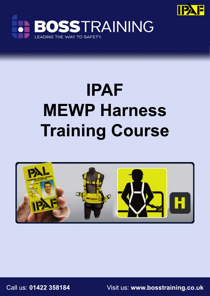



# **IPAF MEWP Harness Training Course**



Call us: **01422 358184** Visit us: **www.bosstraining.co.uk**